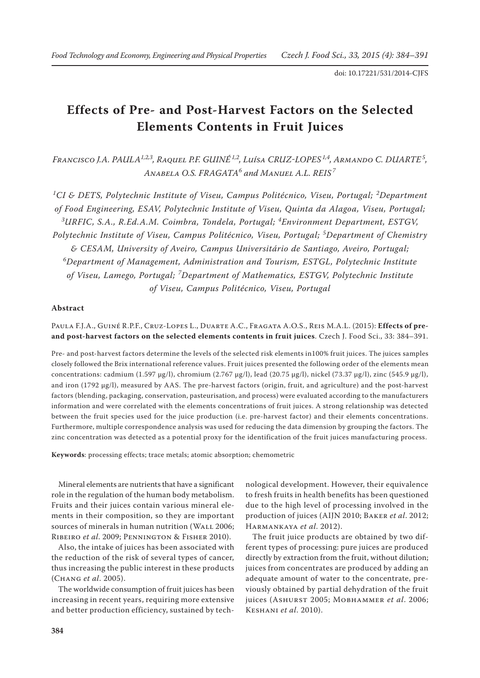# **Effects of Pre- and Post-Harvest Factors on the Selected Elements Contents in Fruit Juices**

*Francisco J.A. Paula1,2,3, Raquel P.F. Guiné1,2, Luísa Cruz-Lopes 1,4, Armando C. Duarte5 , Anabela O.S. Fragata<sup>6</sup> and Manuel A.L. Reis <sup>7</sup>*

<sup>1</sup>CI & DETS, Polytechnic Institute of Viseu, Campus Politécnico, Viseu, Portugal; <sup>2</sup>Department *of Food Engineering, ESAV, Polytechnic Institute of Viseu, Quinta da Alagoa, Viseu, Portugal;*  <sup>3</sup>URFIC, S.A., R.Ed.A.M. Coimbra, Tondela, Portugal; <sup>4</sup>Environment Department, ESTGV, *Polytechnic Institute of Viseu, Campus Politécnico, Viseu, Portugal; <sup>5</sup> Department of Chemistry & CESAM, University of Aveiro, Campus Universitário de Santiago, Aveiro, Portugal;*   $^6$ Department of Management, Administration and Tourism, ESTGL, Polytechnic Institute *of Viseu, Lamego, Portugal; <sup>7</sup> Department of Mathematics, ESTGV, Polytechnic Institute of Viseu, Campus Politécnico, Viseu, Portugal*

### **Abstract**

Paula F.J.A., Guiné R.P.F., Cruz-Lopes L., Duarte A.C., Fragata A.O.S., Reis M.A.L. (2015): **Effects of preand post-harvest factors on the selected elements contents in fruit juices**. Czech J. Food Sci., 33: 384–391.

Pre- and post-harvest factors determine the levels of the selected risk elements in100% fruit juices. The juices samples closely followed the Brix international reference values. Fruit juices presented the following order of the elements mean concentrations: cadmium (1.597 μg/l), chromium (2.767 μg/l), lead (20.75 μg/l), nickel (73.37 μg/l), zinc (545.9 μg/l), and iron (1792 μg/l), measured by AAS. The pre-harvest factors (origin, fruit, and agriculture) and the post-harvest factors (blending, packaging, conservation, pasteurisation, and process) were evaluated according to the manufacturers information and were correlated with the elements concentrations of fruit juices. A strong relationship was detected between the fruit species used for the juice production (i.e. pre-harvest factor) and their elements concentrations. Furthermore, multiple correspondence analysis was used for reducing the data dimension by grouping the factors. The zinc concentration was detected as a potential proxy for the identification of the fruit juices manufacturing process.

**Keywords**: processing effects; trace metals; atomic absorption; chemometric

Mineral elements are nutrients that have a significant role in the regulation of the human body metabolism. Fruits and their juices contain various mineral elements in their composition, so they are important sources of minerals in human nutrition (WALL 2006; Ribeiro *et al*. 2009; Pennington & Fisher 2010).

Also, the intake of juices has been associated with the reduction of the risk of several types of cancer, thus increasing the public interest in these products (Chang *et al*. 2005).

The worldwide consumption of fruit juices has been increasing in recent years, requiring more extensive and better production efficiency, sustained by tech-

nological development. However, their equivalence to fresh fruits in health benefits has been questioned due to the high level of processing involved in the production of juices (AIJN 2010; Baker *et al*. 2012; Harmankaya *et al*. 2012).

The fruit juice products are obtained by two different types of processing: pure juices are produced directly by extraction from the fruit, without dilution; juices from concentrates are produced by adding an adequate amount of water to the concentrate, previously obtained by partial dehydration of the fruit juices (Ashurst 2005; Mobhammer *et al*. 2006; Keshani *et al*. 2010).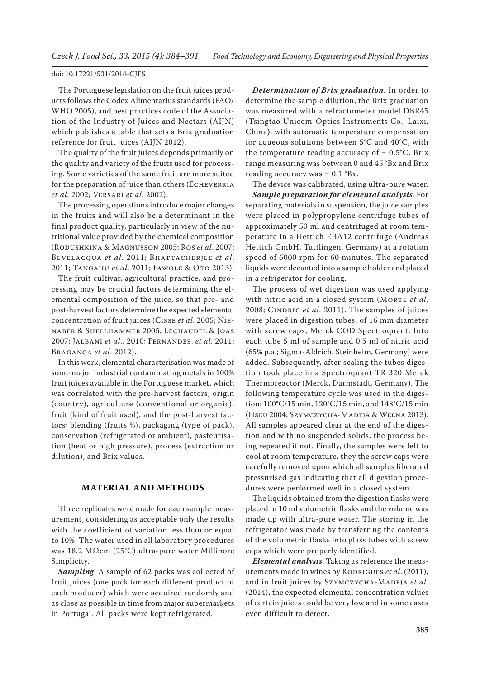The Portuguese legislation on the fruit juices products follows the Codex Alimentarius standards (FAO/ WHO 2005), and best practices code of the Association of the Industry of Juices and Nectars (AIJN) which publishes a table that sets a Brix graduation reference for fruit juices (AIJN 2012).

The quality of the fruit juices depends primarily on the quality and variety of the fruits used for processing. Some varieties of the same fruit are more suited for the preparation of juice than others (ECHEVERRIA *et al*. 2002; Versari *et al*. 2002).

The processing operations introduce major changes in the fruits and will also be a determinant in the final product quality, particularly in view of the nutritional value provided by the chemical composition (Rodushkina & Magnusson 2005; Ros *et al*. 2007; Bevelacqua *et al*. 2011; Bhattacherjee *et al*. 2011; Тамgанu *et al.* 2011; Fawole & Ото 2013).

The fruit cultivar, agricultural practice, and processing may be crucial factors determining the elemental composition of the juice, so that pre- and post-harvest factors determine the expected elemental concentration of fruit juices (Cisse *et al*. 2005; Nienaber & Shellhammer 2005; Léchaudel & Joas 2007; Jalbani *et al*., 2010; Fernandes, *et al*. 2011; Bragança *et al*. 2012).

In this work, elemental characterisation was made of some major industrial contaminating metals in 100% fruit juices available in the Portuguese market, which was correlated with the pre-harvest factors; origin (country), agriculture (conventional or organic), fruit (kind of fruit used), and the post-harvest factors; blending (fruits %), packaging (type of pack), conservation (refrigerated or ambient), pasteurisation (heat or high pressure), process (extraction or dilution), and Brix values.

## **MATERIAL AND METHODS**

Three replicates were made for each sample measurement, considering as acceptable only the results with the coefficient of variation less than or equal to 10%. The water used in all laboratory procedures was 18.2 MΩcm (25°C) ultra-pure water Millipore Simplicity.

*Sampling*. A sample of 62 packs was collected of fruit juices (one pack for each different product of each producer) which were acquired randomly and as close as possible in time from major supermarkets in Portugal. All packs were kept refrigerated.

*Determination of Brix graduation*. In order to determine the sample dilution, the Brix graduation was measured with a refractometer model DBR45 (Tsingtao Unicom-Optics Instruments Co., Laixi, China**)**, with automatic temperature compensation for aqueous solutions between 5°C and 40°C, with the temperature reading accuracy of  $\pm$  0.5°C, Brix range measuring was between 0 and 45 °Bx and Brix reading accuracy was  $\pm$  0.1 °Bx.

The device was calibrated, using ultra-pure water. *Sample preparation for elemental analysis.* For separating materials in suspension, the juice samples were placed in polypropylene centrifuge tubes of approximately 50 ml and centrifuged at room temperature in a Hettich EBA12 centrifuge (Andreas Hettich GmbH, Tuttlingen, Germany) at a rotation speed of 6000 rpm for 60 minutes. The separated liquids were decanted into a sample holder and placed in a refrigerator for cooling.

The process of wet digestion was used applying with nitric acid in a closed system (MORTE et al. 2008; CINDRIC et al. 2011). The samples of juices were placed in digestion tubes, of 16 mm diameter with screw caps, Merck COD Spectroquant. Into each tube 5 ml of sample and 0.5 ml of nitric acid (65% p.a.; Sigma-Aldrich, Steinheim, Germany) were added. Subsequently, after sealing the tubes digestion took place in a Spectroquant TR 320 Merck Thermoreactor (Merck, Darmstadt, Germany). The following temperature cycle was used in the digestion: 100°C/15 min, 120°C/15 min, and 148°C/15 min (Hseu 2004; Szymczycha-Madeja & Welna 2013). All samples appeared clear at the end of the digestion and with no suspended solids, the process being repeated if not. Finally, the samples were left to cool at room temperature, they the screw caps were carefully removed upon which all samples liberated pressurised gas indicating that all digestion procedures were performed well in a closed system.

The liquids obtained from the digestion flasks were placed in 10 ml volumetric flasks and the volume was made up with ultra-pure water. The storing in the refrigerator was made by transferring the contents of the volumetric flasks into glass tubes with screw caps which were properly identified.

*Elemental analysis*. Taking as reference the measurements made in wines by RODRIGUES *et al.* (2011), and in fruit juices by Szymczycha-Madeja *et al*. (2014), the expected elemental concentration values of certain juices could be very low and in some cases even difficult to detect.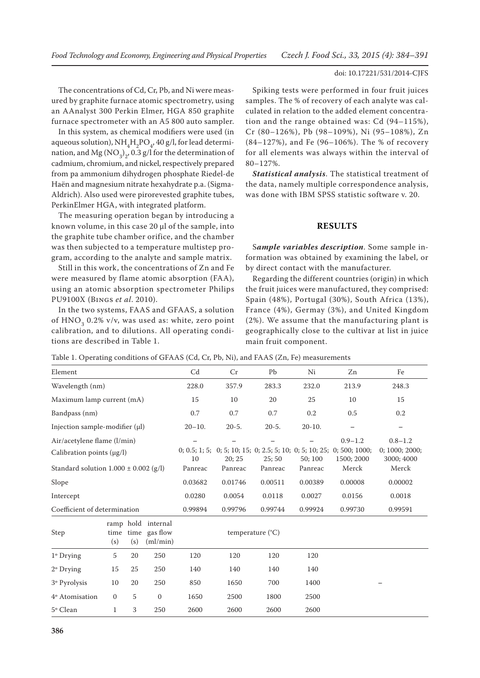The concentrations of Cd, Cr, Pb, and Ni were measured by graphite furnace atomic spectrometry, using an AAnalyst 300 Perkin Elmer, HGA 850 graphite furnace spectrometer with an A5 800 auto sampler.

In this system, as chemical modifiers were used (in aqueous solution),  $\rm NH_4H_2PO_4$ ,  $40$  g/l, for lead determination, and Mg  $\text{(NO}_{3})_{2}$ , 0.3 g/l for the determination of cadmium, chromium, and nickel, respectively prepared from pa ammonium dihydrogen phosphate Riedel-de Haën and magnesium nitrate hexahydrate p.a. (Sigma-Aldrich). Also used were pirorevested graphite tubes, PerkinElmer HGA, with integrated platform.

The measuring operation began by introducing a known volume, in this case 20 µl of the sample, into the graphite tube chamber orifice, and the chamber was then subjected to a temperature multistep program, according to the analyte and sample matrix.

Still in this work, the concentrations of Zn and Fe were measured by flame atomic absorption (FAA), using an atomic absorption spectrometer Philips PU9100X (Bings *et al*. 2010).

In the two systems, FAAS and GFAAS, a solution of  $\mathrm{HNO}_{3}$  0.2% v/v, was used as: white, zero point calibration, and to dilutions. All operating conditions are described in Table 1.

Spiking tests were performed in four fruit juices samples. The % of recovery of each analyte was calculated in relation to the added element concentration and the range obtained was: Cd (94–115%), Cr (80–126%), Pb (98–109%), Ni (95–108%), Zn (84–127%), and Fe (96–106%). The % of recovery for all elements was always within the interval of 80–127%.

*Statistical analysis*. The statistical treatment of the data, namely multiple correspondence analysis, was done with IBM SPSS statistic software v. 20.

### **RESULTS**

S*ample variables description*. Some sample information was obtained by examining the label, or by direct contact with the manufacturer.

Regarding the different countries (origin) in which the fruit juices were manufactured, they comprised: Spain (48%), Portugal (30%), South Africa (13%), France (4%), Germay (3%), and United Kingdom (2%). We assume that the manufacturing plant is geographically close to the cultivar at list in juice main fruit component.

|  | Table 1. Operating conditions of GFAAS (Cd, Cr, Pb, Ni), and FAAS (Zn, Fe) measurements |
|--|-----------------------------------------------------------------------------------------|
|--|-----------------------------------------------------------------------------------------|

| Element                                                                    |              |    |              | C <sub>d</sub> | Cr      | Pb                                                                  | Ni       | Zn                                         | Fe                                          |
|----------------------------------------------------------------------------|--------------|----|--------------|----------------|---------|---------------------------------------------------------------------|----------|--------------------------------------------|---------------------------------------------|
| Wavelength (nm)                                                            |              |    |              | 228.0          | 357.9   | 283.3                                                               | 232.0    | 213.9                                      | 248.3                                       |
| Maximum lamp current (mA)                                                  |              |    |              | 15             | 10      | 20                                                                  | 25       | 10                                         | 15                                          |
| Bandpass (nm)                                                              |              |    |              | 0.7            | 0.7     | 0.7                                                                 | 0.2      | 0.5                                        | 0.2                                         |
| Injection sample-modifier (µl)                                             |              |    |              | $20 - 10.$     | $20-5.$ | $20-5.$                                                             | $20-10.$ |                                            |                                             |
| Air/acetylene flame (l/min)<br>Calibration points $(\mu g/l)$              |              |    |              | 10             | 20:25   | $0; 0.5; 1; 5; 0; 5; 10; 15; 0; 2.5; 5; 10; 0; 5; 10; 25;$<br>25:50 | 50; 100  | $0.9 - 1.2$<br>0; 500; 1000;<br>1500; 2000 | $0.8 - 1.2$<br>0; 1000; 2000;<br>3000; 4000 |
| Standard solution $1.000 \pm 0.002$ (g/l)                                  |              |    |              | Panreac        | Panreac | Panreac                                                             | Panreac  | Merck                                      | Merck                                       |
| Slope                                                                      |              |    |              | 0.03682        | 0.01746 | 0.00511                                                             | 0.00389  | 0.00008                                    | 0.00002                                     |
| Intercept                                                                  |              |    |              | 0.0280         | 0.0054  | 0.0118                                                              | 0.0027   | 0.0156                                     | 0.0018                                      |
| Coefficient of determination                                               |              |    | 0.99894      | 0.99796        | 0.99744 | 0.99924                                                             | 0.99730  | 0.99591                                    |                                             |
| ramp hold internal<br>time time gas flow<br>Step<br>(s)<br>(ml/min)<br>(s) |              |    |              |                |         | temperature (°C)                                                    |          |                                            |                                             |
| 1º Drying                                                                  | 5            | 20 | 250          | 120            | 120     | 120                                                                 | 120      |                                            |                                             |
| 15<br>25<br>250<br>2° Drying                                               |              |    | 140          | 140            | 140     | 140                                                                 |          |                                            |                                             |
| 3 <sup>°</sup> Pyrolysis                                                   | 10           | 20 | 250          | 850            | 1650    | 700                                                                 | 1400     |                                            |                                             |
| 4º Atomisation                                                             | $\Omega$     | 5  | $\mathbf{0}$ | 1650           | 2500    | 1800                                                                | 2500     |                                            |                                             |
| 5° Clean                                                                   | $\mathbf{1}$ | 3  | 250          | 2600           | 2600    | 2600                                                                | 2600     |                                            |                                             |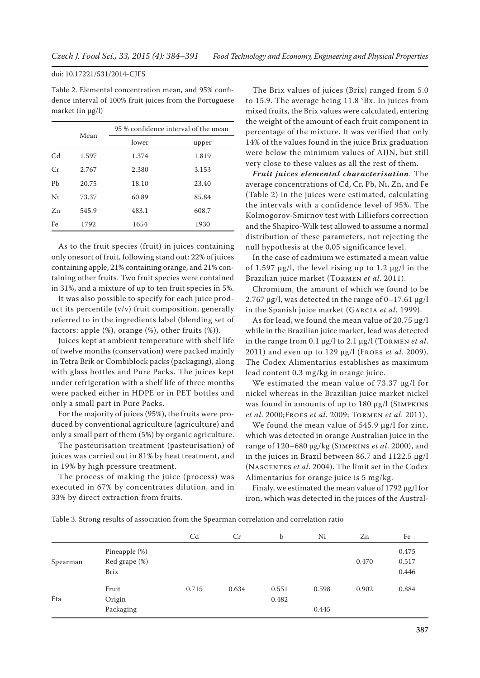| Table 2. Elemental concentration mean, and 95% confi-   |
|---------------------------------------------------------|
| dence interval of 100% fruit juices from the Portuguese |
| market (in $\mu$ g/l)                                   |

|                |       | 95 % confidence interval of the mean |       |  |  |  |
|----------------|-------|--------------------------------------|-------|--|--|--|
|                | Mean  | lower                                | upper |  |  |  |
| C <sub>d</sub> | 1.597 | 1.374                                | 1.819 |  |  |  |
| Cr             | 2.767 | 2.380                                | 3.153 |  |  |  |
| Pb             | 20.75 | 18.10                                | 23.40 |  |  |  |
| Ni             | 73.37 | 60.89                                | 85.84 |  |  |  |
| Zn             | 545.9 | 483.1                                | 608.7 |  |  |  |
| Fe             | 1792  | 1654                                 | 1930  |  |  |  |

As to the fruit species (fruit) in juices containing only onesort of fruit, following stand out: 22% of juices containing apple, 21% containing orange, and 21% containing other fruits. Two fruit species were contained in 31%, and a mixture of up to ten fruit species in 5%.

It was also possible to specify for each juice product its percentile (v/v) fruit composition, generally referred to in the ingredients label (blending set of factors: apple (%), orange (%), other fruits (%)).

Juices kept at ambient temperature with shelf life of twelve months (conservation) were packed mainly in Tetra Brik or Combiblock packs (packaging), along with glass bottles and Pure Packs. The juices kept under refrigeration with a shelf life of three months were packed either in HDPE or in PET bottles and only a small part in Pure Packs.

For the majority of juices (95%), the fruits were produced by conventional agriculture (agriculture) and only a small part of them (5%) by organic agriculture.

The pasteurisation treatment (pasteurisation) of juices was carried out in 81% by heat treatment, and in 19% by high pressure treatment.

The process of making the juice (process) was executed in 67% by concentrates dilution, and in 33% by direct extraction from fruits.

The Brix values of juices (Brix) ranged from 5.0 to 15.9. The average being 11.8 °Bx. In juices from mixed fruits, the Brix values were calculated, entering the weight of the amount of each fruit component in percentage of the mixture. It was verified that only 14% of the values found in the juice Brix graduation were below the minimum values of AIJN, but still very close to these values as all the rest of them.

*Fruit juices elemental characterisation*. The average concentrations of Cd, Cr, Pb, Ni, Zn, and Fe (Table 2) in the juices were estimated, calculating the intervals with a confidence level of 95%. The Kolmogorov-Smirnov test with Lilliefors correction and the Shapiro-Wilk test allowed to assume a normal distribution of these parameters, not rejecting the null hypothesis at the 0,05 significance level.

In the case of cadmium we estimated a mean value of 1.597  $\mu$ g/l, the level rising up to 1.2  $\mu$ g/l in the Brazilian juice market (Tormen *et al*. 2011).

Chromium, the amount of which we found to be 2.767 μg/l, was detected in the range of  $0-17.61$  μg/l in the Spanish juice market (Garcia *et al*. 1999).

As for lead, we found the mean value of 20.75 μg/l while in the Brazilian juice market, lead was detected in the range from 0.1 μg/l to 2.1 μg/l (Tormen *et al*. 2011) and even up to 129 μg/l (Froes *et al*. 2009). The Codex Alimentarius establishes as maximum lead content 0.3 mg/kg in orange juice.

We estimated the mean value of 73.37 μg/l for nickel whereas in the Brazilian juice market nickel was found in amounts of up to 180 μg/l (Simpkins *et al*. 2000;Froes *et al*. 2009; Tormen *et al*. 2011).

We found the mean value of 545.9 μg/l for zinc, which was detected in orange Australian juice in the range of 120–680 μg/kg (Simpkins *et al*. 2000), and in the juices in Brazil between 86.7 and 1122.5 μg/l (NASCENTES *et al.* 2004). The limit set in the Codex Alimentarius for orange juice is 5 mg/kg.

Finaly, we estimated the mean value of 1792 μg/l for iron, which was detected in the juices of the Austral-

Table 3. Strong results of association from the Spearman correlation and correlation ratio

|          |               | C <sub>d</sub> | Cr    | b     | Ni    | Zn    | Fe    |
|----------|---------------|----------------|-------|-------|-------|-------|-------|
|          | Pineapple (%) |                |       |       |       |       | 0.475 |
| Spearman | Red grape (%) |                |       |       |       | 0.470 | 0.517 |
|          | Brix          |                |       |       |       |       | 0.446 |
|          | Fruit         | 0.715          | 0.634 | 0.551 | 0.598 | 0.902 | 0.884 |
| Eta      | Origin        |                |       | 0.482 |       |       |       |
|          | Packaging     |                |       |       | 0.445 |       |       |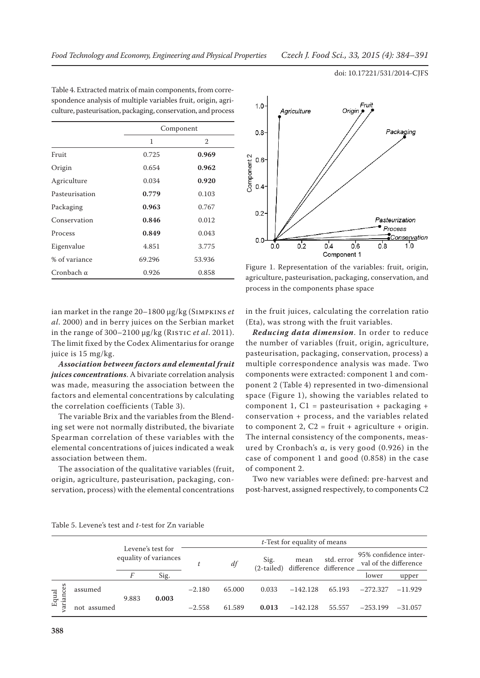|                   |        | Component |  |  |
|-------------------|--------|-----------|--|--|
|                   | 1      | 2         |  |  |
| Fruit             | 0.725  | 0.969     |  |  |
| Origin            | 0.654  | 0.962     |  |  |
| Agriculture       | 0.034  | 0.920     |  |  |
| Pasteurisation    | 0.779  | 0.103     |  |  |
| Packaging         | 0.963  | 0.767     |  |  |
| Conservation      | 0.846  | 0.012     |  |  |
| Process           | 0.849  | 0.043     |  |  |
| Eigenvalue        | 4.851  | 3.775     |  |  |
| % of variance     | 69.296 | 53.936    |  |  |
| Cronbach $\alpha$ | 0.926  | 0.858     |  |  |

Table 4. Extracted matrix of main components, from correspondence analysis of multiple variables fruit, origin, agriculture, pasteurisation, packaging, conservation, and process

ian market in the range 20–1800 μg/kg (Simpkins *et al*. 2000) and in berry juices on the Serbian market in the range of 300–2100 μg/kg (RISTIC *et al.* 2011). The limit fixed by the Codex Alimentarius for orange juice is 15 mg/kg.

*Association between factors and elemental fruit juices concentrations*. A bivariate correlation analysis was made, measuring the association between the factors and elemental concentrations by calculating the correlation coefficients (Table 3).

The variable Brix and the variables from the Blending set were not normally distributed, the bivariate Spearman correlation of these variables with the elemental concentrations of juices indicated a weak association between them.

The association of the qualitative variables (fruit, origin, agriculture, pasteurisation, packaging, conservation, process) with the elemental concentrations



Figure 1. Representation of the variables: fruit, origin, agriculture, pasteurisation, packaging, conservation, and process in the components phase space

in the fruit juices, calculating the correlation ratio (Eta), was strong with the fruit variables.

*Reducing data dimension*. In order to reduce the number of variables (fruit, origin, agriculture, pasteurisation, packaging, conservation, process) a multiple correspondence analysis was made. Two components were extracted: component 1 and component 2 (Table 4) represented in two-dimensional space (Figure 1), showing the variables related to component 1,  $C1$  = pasteurisation + packaging + conservation + process, and the variables related to component 2,  $C2 = fruit + agriculture + origin$ . The internal consistency of the components, measured by Cronbach's α, is very good (0.926) in the case of component 1 and good (0.858) in the case of component 2.

Two new variables were defined: pre-harvest and post-harvest, assigned respectively, to components C2

| Table 5. Levene's test and t-test for Zn variable |  |
|---------------------------------------------------|--|
|---------------------------------------------------|--|

|                   |             |                                            |       | <i>t</i> -Test for equality of means |        |       |                                          |            |                                                |           |  |
|-------------------|-------------|--------------------------------------------|-------|--------------------------------------|--------|-------|------------------------------------------|------------|------------------------------------------------|-----------|--|
|                   |             | Levene's test for<br>equality of variances |       | L                                    | df     | Sig.  | mean<br>(2-tailed) difference difference | std. error | 95% confidence inter-<br>val of the difference |           |  |
|                   |             |                                            | Sig.  |                                      |        |       |                                          |            | lower                                          | upper     |  |
| Equal<br>ariances | assumed     |                                            |       | $-2.180$                             | 65,000 | 0.033 | $-142.128$                               | 65.193     | $-272.327$                                     | $-11.929$ |  |
|                   | not assumed | 9.883                                      | 0.003 | $-2.558$                             | 61.589 | 0.013 | $-142.128$                               | 55.557     | $-253.199$                                     | $-31.057$ |  |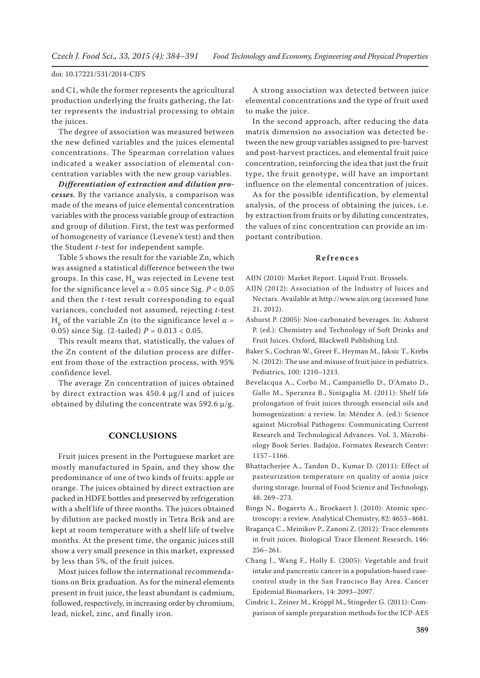and C1, while the former represents the agricultural production underlying the fruits gathering, the latter represents the industrial processing to obtain the juices.

The degree of association was measured between the new defined variables and the juices elemental concentrations. The Spearman correlation values indicated a weaker association of elemental concentration variables with the new group variables.

*Differentiation of extraction and dilution processes*. By the variance analysis, a comparison was made of the means of juice elemental concentration variables with the process variable group of extraction and group of dilution. First, the test was performed of homogeneity of variance (Levene's test) and then the Student *t*-test for independent sample.

Table 5 shows the result for the variable Zn, which was assigned a statistical difference between the two groups. In this case,  $H_0$  was rejected in Levene test for the significance level  $\alpha$  = 0.05 since Sig. *P* < 0.05 and then the *t*-test result corresponding to equal variances, concluded not assumed, rejecting *t*-test  $H<sub>0</sub>$  of the variable Zn (to the significance level α = 0.05) since Sig. (2-tailed)  $P = 0.013 < 0.05$ .

This result means that, statistically, the values of the Zn content of the dilution process are different from those of the extraction process, with 95% confidence level.

The average Zn concentration of juices obtained by direct extraction was 450.4 μg/l and of juices obtained by diluting the concentrate was 592.6  $\mu$ /g.

# **CONCLUSIONS**

Fruit juices present in the Portuguese market are mostly manufactured in Spain, and they show the predominance of one of two kinds of fruits: apple or orange. The juices obtained by direct extraction are packed in HDFE bottles and preserved by refrigeration with a shelf life of three months. The juices obtained by dilution are packed mostly in Tetra Brik and are kept at room temperature with a shelf life of twelve months. At the present time, the organic juices still show a very small presence in this market, expressed by less than 5%, of the fruit juices.

Most juices follow the international recommendations on Brix graduation. As for the mineral elements present in fruit juice, the least abundant is cadmium, followed, respectively, in increasing order by chromium, lead, nickel, zinc, and finally iron.

A strong association was detected between juice elemental concentrations and the type of fruit used to make the juice.

In the second approach, after reducing the data matrix dimension no association was detected between the new group variables assigned to pre-harvest and post-harvest practices, and elemental fruit juice concentration, reinforcing the idea that just the fruit type, the fruit genotype, will have an important influence on the elemental concentration of juices.

As for the possible identification, by elemental analysis, of the process of obtaining the juices, i.e. by extraction from fruits or by diluting concentrates, the values of zinc concentration can provide an important contribution.

#### **Refrences**

AIJN (2010): Market Report. Liquid Fruit. Brussels.

- AIJN (2012): Association of the Industry of Juices and Nectars. Available at http://www.aijn.org (accessed June 21, 2012).
- Ashurst P. (2005): Non-carbonated beverages. In: Ashurst P. (ed.): Chemistry and Technology of Soft Drinks and Fruit Juices. Oxford, Blackwell Publishing Ltd.
- Baker S., Cochran W., Greer F., Heyman M., Jaksic T., Krebs N. (2012): The use and misuse of fruit juice in pediatrics. Pediatrics, 100: 1210–1213.
- Bevelacqua A., Corbo M., Campaniello D., D'Amato D., Gallo M., Speranza B., Sinigaglia M. (2011): Shelf life prolongation of fruit juices through essencial oils and homogenization: a review. In: Méndez A. (ed.): Science against Microbial Pathogens: Communicating Current Research and Technological Advances. Vol. 3, Microbiology Book Series. Badajoz, Formatex Research Center: 1157–1166.
- Bhattacherjee A., Tandon D., Kumar D. (2011): Effect of pasteurization temperature on quality of aonia juice during storage. Journal of Food Science and Technology, 48: 269–273.
- Bings N., Bogaerts A., Broekaert J. (2010): Atomic spectroscopy: a review. Analytical Chemistry, 82: 4653–4681.
- Bragança C., Meinikov P., Zanoni Z. (2012): Trace elements in fruit juices. Biological Trace Element Research, 146: 256–261.
- Chang J., Wang F., Holly E. (2005): Vegetable and fruit intake and pancreatic cancer in a population-based casecontrol study in the San Francisco Bay Area. Cancer Epidemial Biomarkers, 14: 2093–2097.
- Cindric I., Zeiner M., Kröppl M., Stingeder G. (2011): Comparison of sample preparation methods for the ICP-AES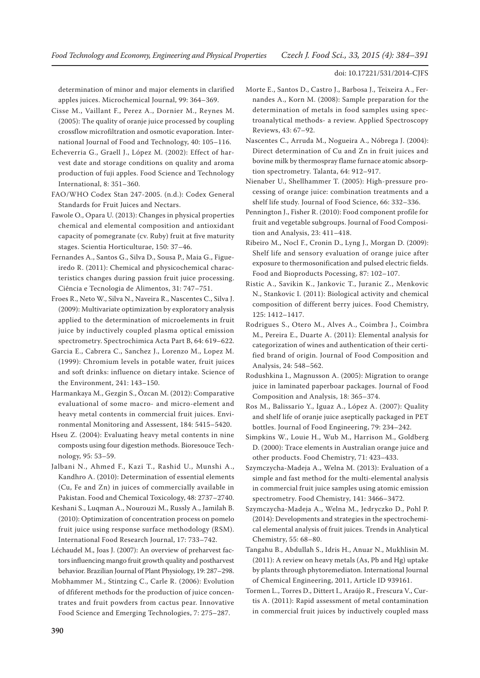determination of minor and major elements in clarified apples juices. Microchemical Journal, 99: 364–369.

- Cisse M., Vaillant F., Perez A., Dornier M., Reynes M. (2005): The quality of oranje juice processed by coupling crossflow microfiltration and osmotic evaporation. International Journal of Food and Technology, 40: 105–116.
- Echeverria G., Graell J., López M. (2002): Effect of harvest date and storage conditions on quality and aroma production of fuji apples. Food Science and Technology International, 8: 351–360.
- FAO/WHO Codex Stan 247-2005. (n.d.): Codex General Standards for Fruit Juices and Nectars.
- Fawole O., Opara U. (2013): Changes in physical properties chemical and elemental composition and antioxidant capacity of pomegranate (cv. Ruby) fruit at five maturity stages. Scientia Horticulturae, 150: 37–46.
- Fernandes A., Santos G., Silva D., Sousa P., Maia G., Figueiredo R. (2011): Chemical and physicochemical characteristics changes during passion fruit juice processing. Ciência e Tecnologia de Alimentos, 31: 747–751.
- Froes R., Neto W., Silva N., Naveira R., Nascentes C., Silva J. (2009): Multivariate optimization by exploratory analysis applied to the determination of microelements in fruit juice by inductively coupled plasma optical emission spectrometry. Spectrochimica Acta Part B, 64: 619–622.
- Garcia E., Cabrera C., Sanchez J., Lorenzo M., Lopez M. (1999): Chromium levels in potable water, fruit juices and soft drinks: influence on dietary intake. Science of the Environment, 241: 143–150.
- Harmankaya M., Gezgin S., Özcan M. (2012): Comparative evaluational of some macro- and micro-element and heavy metal contents in commercial fruit juices. Environmental Monitoring and Assessent, 184: 5415–5420.
- Hseu Z. (2004): Evaluating heavy metal contents in nine composts using four digestion methods. Bioresouce Technology, 95: 53–59.
- Jalbani N., Ahmed F., Kazi T., Rashid U., Munshi A., Kandhro A. (2010): Determination of essential elements (Cu, Fe and Zn) in juices of commercially available in Pakistan. Food and Chemical Toxicology, 48: 2737–2740.
- Keshani S., Luqman A., Nourouzi M., Russly A., Jamilah B. (2010): Optimization of concentration process on pomelo fruit juice using response surface methodology (RSM). International Food Research Journal, 17: 733–742.
- Léchaudel M., Joas J. (2007): An overview of preharvest factors influencing mango fruit growth quality and postharvest behavior. Brazilian Journal of Plant Physiology, 19: 287–298.
- Mobhammer M., Stintzing C., Carle R. (2006): Evolution of dfiferent methods for the production of juice concentrates and fruit powders from cactus pear. Innovative Food Science and Emerging Technologies, 7: 275–287.
- Morte E., Santos D., Castro J., Barbosa J., Teixeira A., Fernandes A., Korn M. (2008): Sample preparation for the determination of metals in food samples using spectroanalytical methods- a review. Applied Spectroscopy Reviews, 43: 67–92.
- Nascentes C., Arruda M., Nogueira A., Nóbrega J. (2004): Direct determination of Cu and Zn in fruit juices and bovine milk by thermospray flame furnace atomic absorption spectrometry. Talanta, 64: 912–917.
- Nienaber U., Shellhammer T. (2005): High-pressure processing of orange juice: combination treatments and a shelf life study. Journal of Food Science, 66: 332–336.
- Pennington J., Fisher R. (2010): Food component profile for fruit and vegetable subgroups. Journal of Food Composition and Analysis, 23: 411–418.
- Ribeiro M., Nocl F., Cronin D., Lyng J., Morgan D. (2009): Shelf life and sensory evaluation of orange juice after exposure to thermosonification and pulsed electric fields. Food and Bioproducts Pocessing, 87: 102–107.
- Ristic A., Savikin K., Jankovic T., Juranic Z., Menkovic N., Stankovic I. (2011): Biological activity and chemical composition of different berry juices. Food Chemistry, 125: 1412–1417.
- Rodrigues S., Otero M., Alves A., Coimbra J., Coimbra M., Pereira E., Duarte A. (2011): Elemental analysis for categorization of wines and authentication of their certified brand of origin. Journal of Food Composition and Analysis, 24: 548–562.
- Rodushkina I., Magnusson A. (2005): Migration to orange juice in laminated paperboar packages. Journal of Food Composition and Analysis, 18: 365–374.
- Ros M., Balissario Y., Iguaz A., López A. (2007): Quality and shelf life of oranje juice aseptically packaged in PET bottles. Journal of Food Engineering, 79: 234–242.
- Simpkins W., Louie H., Wub M., Harrison M., Goldberg D. (2000): Trace elements in Australian orange juice and other products. Food Chemistry, 71: 423–433.
- Szymczycha-Madeja A., Welna M. (2013): Evaluation of a simple and fast method for the multi-elemental analysis in commercial fruit juice samples using atomic emission spectrometry. Food Chemistry, 141: 3466–3472.
- Szymczycha-Madeja A., Welna M., Jedryczko D., Pohl P. (2014): Developments and strategies in the spectrochemical elemental analysis of fruit juices. Trends in Analytical Chemistry, 55: 68–80.
- Tangahu B., Abdullah S., Idris H., Anuar N., Mukhlisin M. (2011): A review on heavy metals (As, Pb and Hg) uptake by plants through phytoremediaton. International Journal of Chemical Engineering, 2011, Article ID 939161.
- Tormen L., Torres D., Dittert I., Araújo R., Frescura V., Curtis A. (2011): Rapid assessment of metal contamination in commercial fruit juices by inductively coupled mass